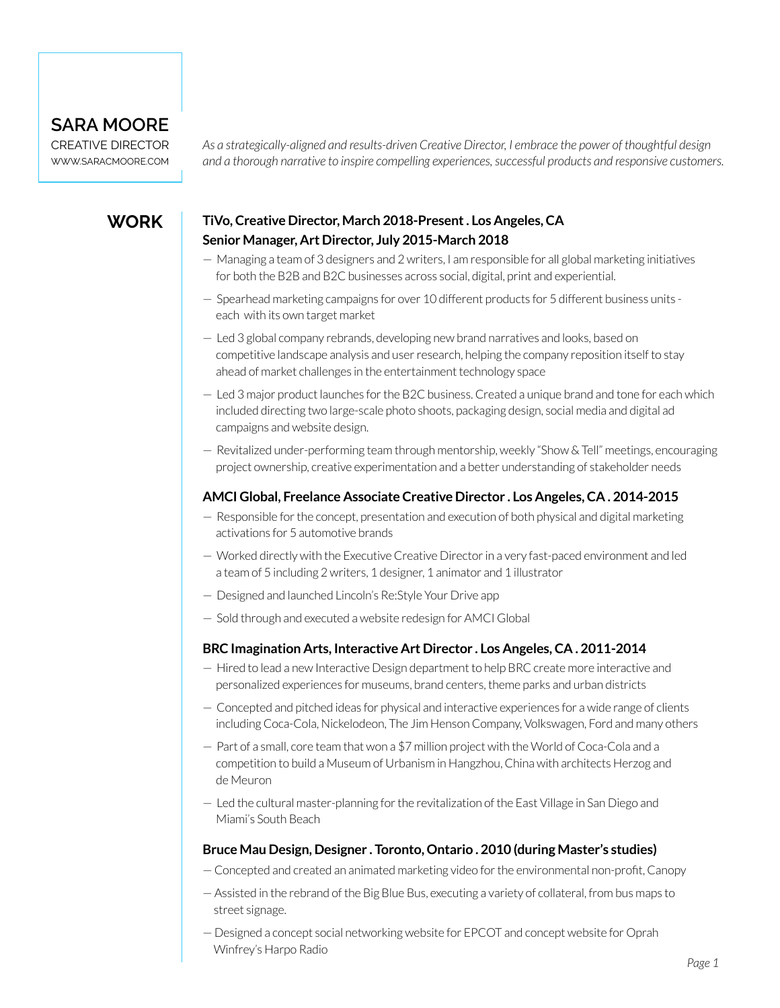## **SARA MOORE**

CREATIVE DIRECTOR [WWW.SARACMOORE.COM](http://WWW.SARACMOORE.COM)

*As a strategically-aligned and results-driven Creative Director, I embrace the power of thoughtful design and a thorough narrative to inspire compelling experiences, successful products and responsive customers.*

## **WORK**

### **TiVo, Creative Director, March 2018-Present . Los Angeles, CA Senior Manager, Art Director, July 2015-March 2018**

- Managing a team of 3 designers and 2 writers, I am responsible for all global marketing initiatives for both the B2B and B2C businesses across social, digital, print and experiential.
- Spearhead marketing campaigns for over 10 different products for 5 different business units each with its own target market
- Led 3 global company rebrands, developing new brand narratives and looks, based on competitive landscape analysis and user research, helping the company reposition itself to stay ahead of market challenges in the entertainment technology space
- Led 3 major product launches for the B2C business. Created a unique brand and tone for each which included directing two large-scale photo shoots, packaging design, social media and digital ad campaigns and website design.
- Revitalized under-performing team through mentorship, weekly "Show & Tell" meetings, encouraging project ownership, creative experimentation and a better understanding of stakeholder needs

#### **AMCI Global, Freelance Associate Creative Director . Los Angeles, CA . 2014-2015**

- Responsible for the concept, presentation and execution of both physical and digital marketing activations for 5 automotive brands
- Worked directly with the Executive Creative Director in a very fast-paced environment and led a team of 5 including 2 writers, 1 designer, 1 animator and 1 illustrator
- Designed and launched Lincoln's Re:Style Your Drive app
- Sold through and executed a website redesign for AMCI Global

#### **BRC Imagination Arts, Interactive Art Director . Los Angeles, CA . 2011-2014**

- Hired to lead a new Interactive Design department to help BRC create more interactive and personalized experiences for museums, brand centers, theme parks and urban districts
- Concepted and pitched ideas for physical and interactive experiences for a wide range of clients including Coca-Cola, Nickelodeon, The Jim Henson Company, Volkswagen, Ford and many others
- Part of a small, core team that won a \$7 million project with the World of Coca-Cola and a competition to build a Museum of Urbanism in Hangzhou, China with architects Herzog and de Meuron
- Led the cultural master-planning for the revitalization of the East Village in San Diego and Miami's South Beach

#### **Bruce Mau Design, Designer . Toronto, Ontario . 2010 (during Master's studies)**

- Concepted and created an animated marketing video for the environmental non-profit, Canopy
- Assisted in the rebrand of the Big Blue Bus, executing a variety of collateral, from bus maps to street signage.
- Designed a concept social networking website for EPCOT and concept website for Oprah Winfrey's Harpo Radio